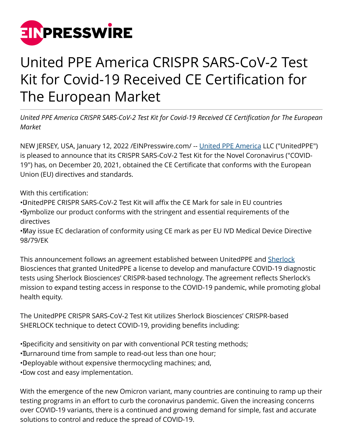

## United PPE America CRISPR SARS-CoV-2 Test Kit for Covid-19 Received CE Certification for The European Market

*United PPE America CRISPR SARS-CoV-2 Test Kit for Covid-19 Received CE Certification for The European Market*

NEW JERSEY, USA, January 12, 2022 [/EINPresswire.com/](http://www.einpresswire.com) -- [United PPE America](https://www.unitedppeamerica.com/) LLC ("UnitedPPE") is pleased to announce that its CRISPR SARS-CoV-2 Test Kit for the Novel Coronavirus ("COVID-19") has, on December 20, 2021, obtained the CE Certificate that conforms with the European Union (EU) directives and standards.

With this certification:

• UnitedPPE CRISPR SARS-CoV-2 Test Kit will affix the CE Mark for sale in EU countries • Symbolize our product conforms with the stringent and essential requirements of the directives

• May issue EC declaration of conformity using CE mark as per EU IVD Medical Device Directive 98/79/EK

This announcement follows an agreement established between UnitedPPE and [Sherlock](https://sherlock.bio/) Biosciences that granted UnitedPPE a license to develop and manufacture COVID-19 diagnostic tests using Sherlock Biosciences' CRISPR-based technology. The agreement reflects Sherlock's mission to expand testing access in response to the COVID-19 pandemic, while promoting global health equity.

The UnitedPPE CRISPR SARS-CoV-2 Test Kit utilizes Sherlock Biosciences' CRISPR-based SHERLOCK technique to detect COVID-19, providing benefits including:

• Specificity and sensitivity on par with conventional PCR testing methods;

- Turnaround time from sample to read-out less than one hour;
- • Deployable without expensive thermocycling machines; and,

• Low cost and easy implementation.

With the emergence of the new Omicron variant, many countries are continuing to ramp up their testing programs in an effort to curb the coronavirus pandemic. Given the increasing concerns over COVID-19 variants, there is a continued and growing demand for simple, fast and accurate solutions to control and reduce the spread of COVID-19.